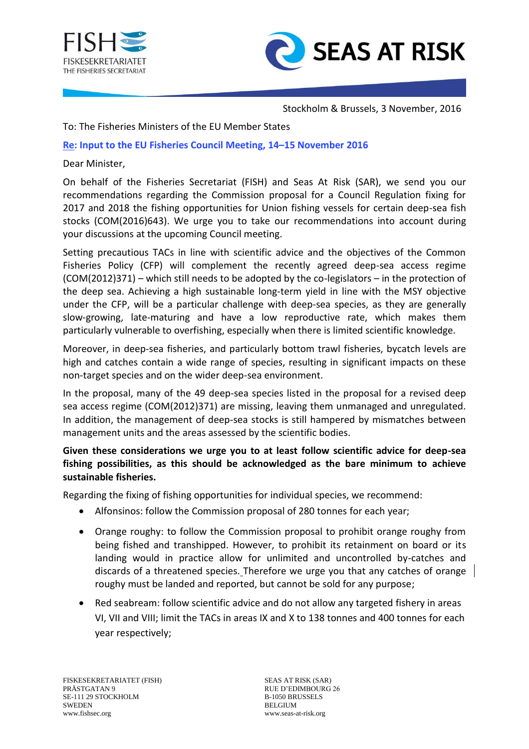



Stockholm & Brussels, 3 November, 2016

To: The Fisheries Ministers of the EU Member States

## **Re: Input to the EU Fisheries Council Meeting, 14–15 November 2016**

## Dear Minister,

On behalf of the Fisheries Secretariat (FISH) and Seas At Risk (SAR), we send you our recommendations regarding the Commission proposal for a Council Regulation fixing for 2017 and 2018 the fishing opportunities for Union fishing vessels for certain deep-sea fish stocks (COM(2016)643). We urge you to take our recommendations into account during your discussions at the upcoming Council meeting.

Setting precautious TACs in line with scientific advice and the objectives of the Common Fisheries Policy (CFP) will complement the recently agreed deep-sea access regime (COM(2012)371) – which still needs to be adopted by the co-legislators – in the protection of the deep sea. Achieving a high sustainable long-term yield in line with the MSY objective under the CFP, will be a particular challenge with deep-sea species, as they are generally slow-growing, late-maturing and have a low reproductive rate, which makes them particularly vulnerable to overfishing, especially when there is limited scientific knowledge.

Moreover, in deep-sea fisheries, and particularly bottom trawl fisheries, bycatch levels are high and catches contain a wide range of species, resulting in significant impacts on these non-target species and on the wider deep-sea environment.

In the proposal, many of the 49 deep-sea species listed in the proposal for a revised deep sea access regime (COM(2012)371) are missing, leaving them unmanaged and unregulated. In addition, the management of deep-sea stocks is still hampered by mismatches between management units and the areas assessed by the scientific bodies.

## **Given these considerations we urge you to at least follow scientific advice for deep-sea fishing possibilities, as this should be acknowledged as the bare minimum to achieve sustainable fisheries.**

Regarding the fixing of fishing opportunities for individual species, we recommend:

- Alfonsinos: follow the Commission proposal of 280 tonnes for each year;
- Orange roughy: to follow the Commission proposal to prohibit orange roughy from being fished and transhipped. However, to prohibit its retainment on board or its landing would in practice allow for unlimited and uncontrolled by-catches and discards of a threatened species. Therefore we urge you that any catches of orange roughy must be landed and reported, but cannot be sold for any purpose;
- Red seabream: follow scientific advice and do not allow any targeted fishery in areas VI, VII and VIII; limit the TACs in areas IX and X to 138 tonnes and 400 tonnes for each year respectively;